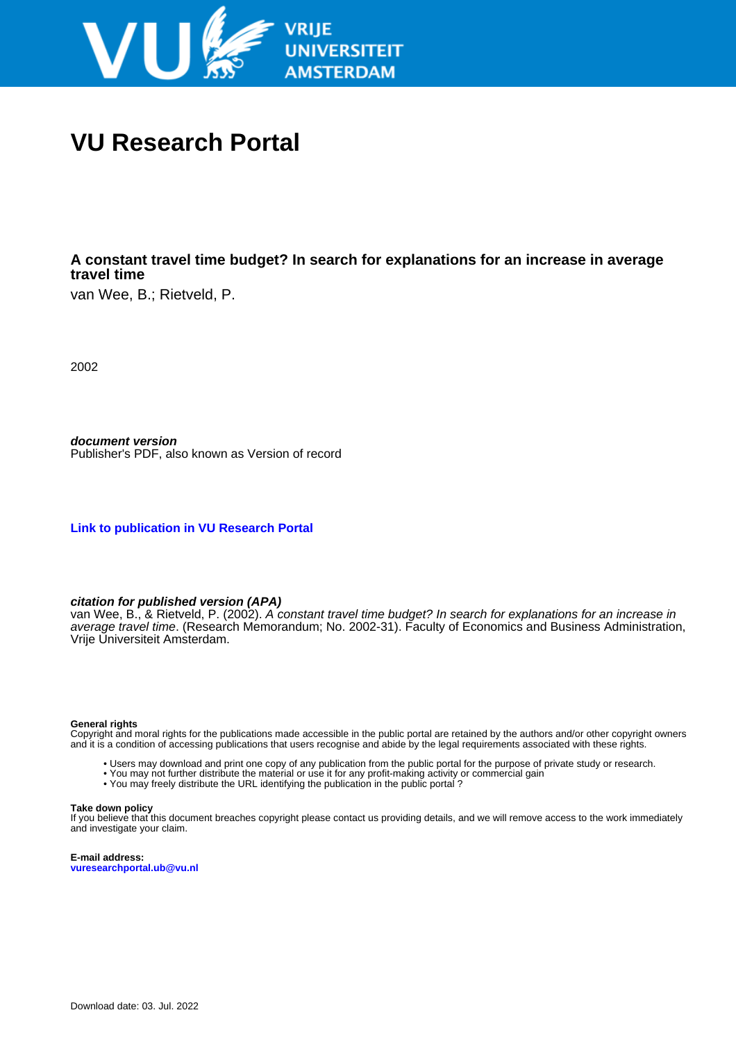

# **VU Research Portal**

# **A constant travel time budget? In search for explanations for an increase in average travel time**

van Wee, B.; Rietveld, P.

2002

**document version** Publisher's PDF, also known as Version of record

**[Link to publication in VU Research Portal](https://research.vu.nl/en/publications/747f997b-430c-4aaa-8f27-0787b7e40013)**

## **citation for published version (APA)**

van Wee, B., & Rietveld, P. (2002). A constant travel time budget? In search for explanations for an increase in average travel time. (Research Memorandum; No. 2002-31). Faculty of Economics and Business Administration, Vrije Universiteit Amsterdam.

#### **General rights**

Copyright and moral rights for the publications made accessible in the public portal are retained by the authors and/or other copyright owners and it is a condition of accessing publications that users recognise and abide by the legal requirements associated with these rights.

- Users may download and print one copy of any publication from the public portal for the purpose of private study or research.
- You may not further distribute the material or use it for any profit-making activity or commercial gain
- You may freely distribute the URL identifying the publication in the public portal ?

#### **Take down policy**

If you believe that this document breaches copyright please contact us providing details, and we will remove access to the work immediately and investigate your claim.

**E-mail address: vuresearchportal.ub@vu.nl**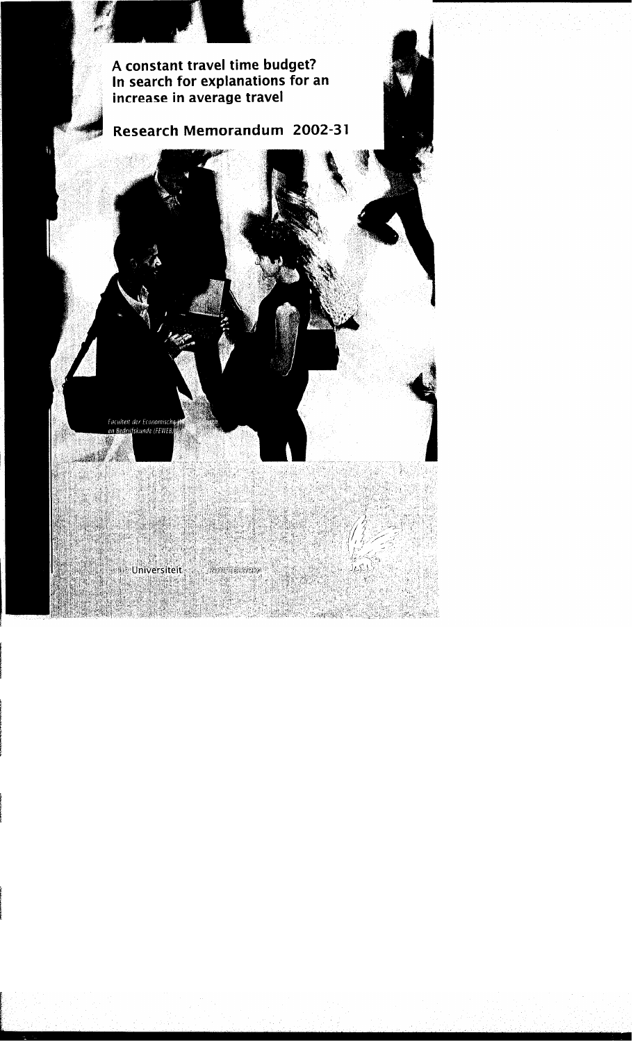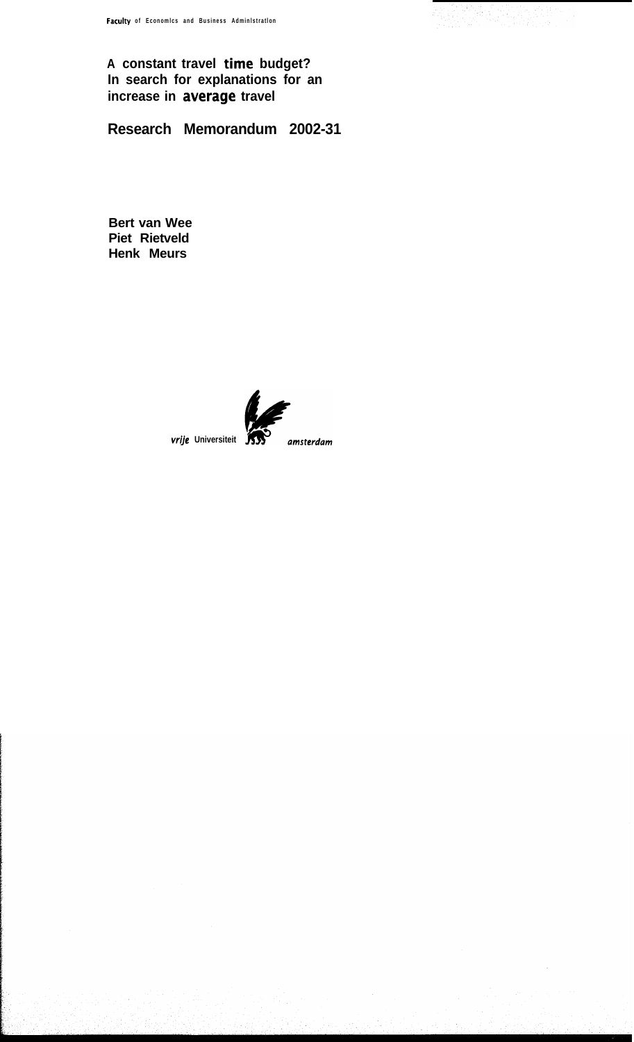**A constant travel time budget? In search for explanations for an increase in average travel**

**Research Memorandum 2002-31**

**Bert van Wee Piet Rietveld Henk Meurs**



**vrije** Universiteit 53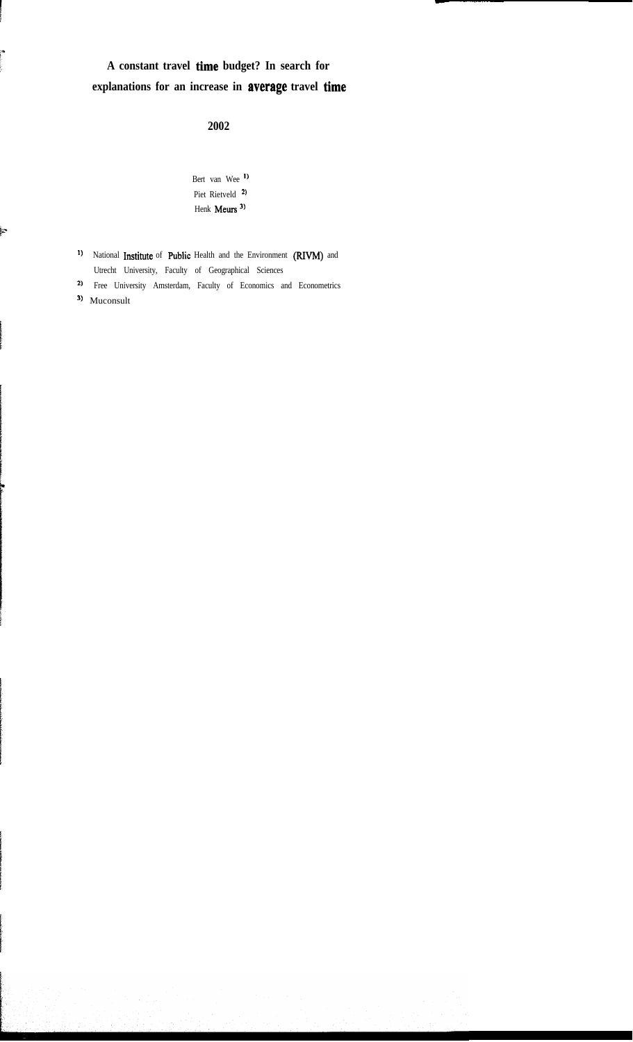# **A constant travel time budget? In search for explanations for an increase in average travel time**

**2002**

Bert van Wee ') Piet Rietveld<sup>2</sup> Henk Meurs<sup>3)</sup>

- <sup>1)</sup> National **Institute** of **Public** Health and the Environment (RIVM) and Utrecht University, Faculty of Geographical Sciences
- <sup>2)</sup> Free University Amsterdam, Faculty of Economics and Econometrics

<sup>3)</sup> Muconsult

ian<br>C

ļ.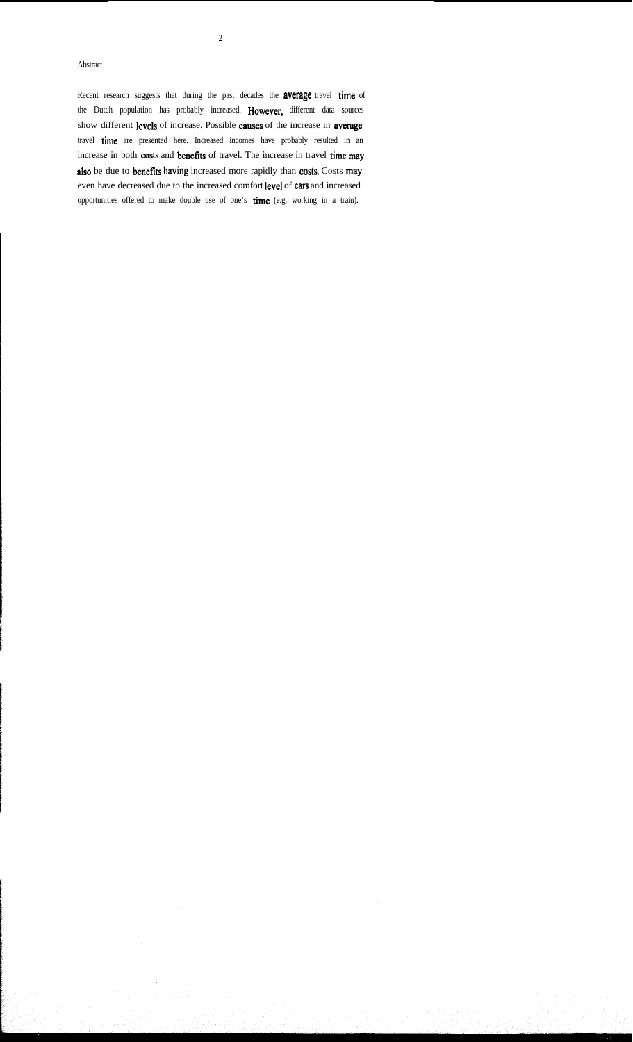# 2

#### Abstract

Recent research suggests that during the past decades the **average** travel time of the Dutch population has probably increased. However, different data sources show different levels of increase. Possible causes of the increase in average travel time are presented here. Increased incomes have probably resulted in an increase in both costs and benefits of travel. The increase in travel time may also be due to benefits having increased more rapidly than costs. Costs may even have decreased due to the increased comfort leve1 of cars and increased opportunities offered to make double use of one's time (e.g. working in a train).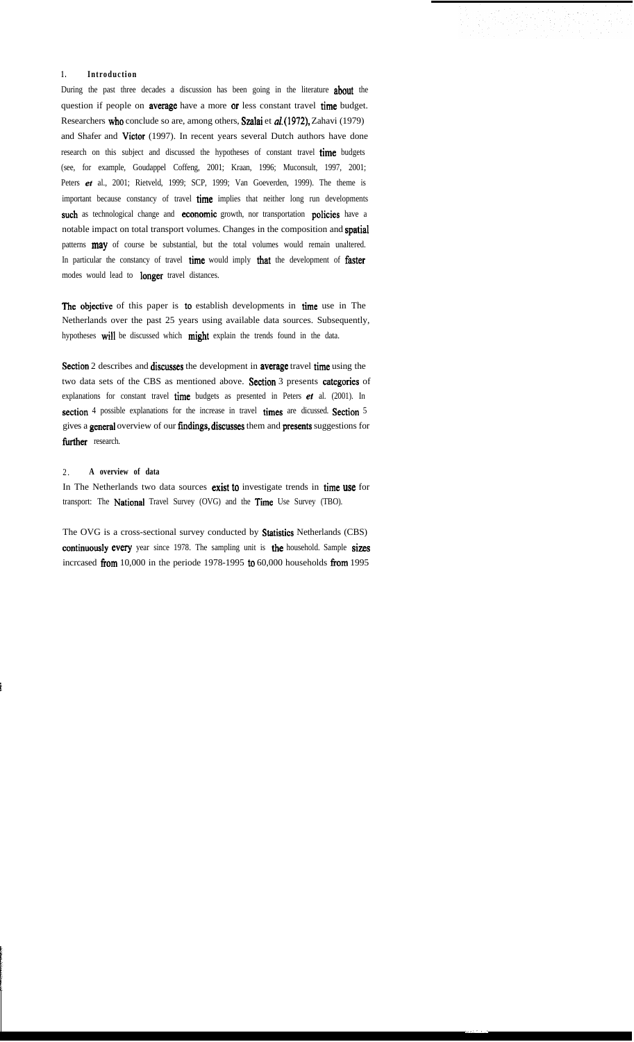#### **1 . Introduction**

During the past three decades a discussion has been going in the literature about the question if people on average have a more or less constant travel time budget. Researchers who conclude so are, among others, Szalai et al. (1972), Zahavi (1979) and Shafer and Victor (1997). In recent years several Dutch authors have done research on this subject and discussed the hypotheses of constant travel time budgets (see, for example, Goudappel Coffeng, 2001; Kraan, 1996; Muconsult, 1997, 2001; Peters et al., 2001; Rietveld, 1999; SCP, 1999; Van Goeverden, 1999). The theme is important because constancy of travel time implies that neither long run developments such as technological change and economic growth, nor transportation policies have a notable impact on total transport volumes. Changes in the composition and spatial patterns **may** of course be substantial, but the total volumes would remain unaltered. In particular the constancy of travel time would imply that the development of faster modes would lead to longer travel distances.

The objective of this paper is to establish developments in time use in The Netherlands over the past 25 years using available data sources. Subsequently, hypotheses will be discussed which might explain the trends found in the data.

Section 2 describes and discusses the development in average travel time using the two data sets of the CBS as mentioned above. Section 3 presents categories of explanations for constant travel time budgets as presented in Peters  $et$  al. (2001). In section 4 possible explanations for the increase in travel times are dicussed. Section 5 gives a general overview of our fíndings, discusses them and presents suggestions for further research.

#### 2 . **A overview of data**

In The Netherlands two data sources exist to investigate trends in time use for transport: The National Travel Survey (OVG) and the Time Use Survey (TBO).

The OVG is a cross-sectional survey conducted by Statistics Netherlands (CBS) continuously every year since 1978. The sampling unit is the household. Sample sizes incrcased from 10,000 in the periode 1978-1995 to 60,000 households from 1995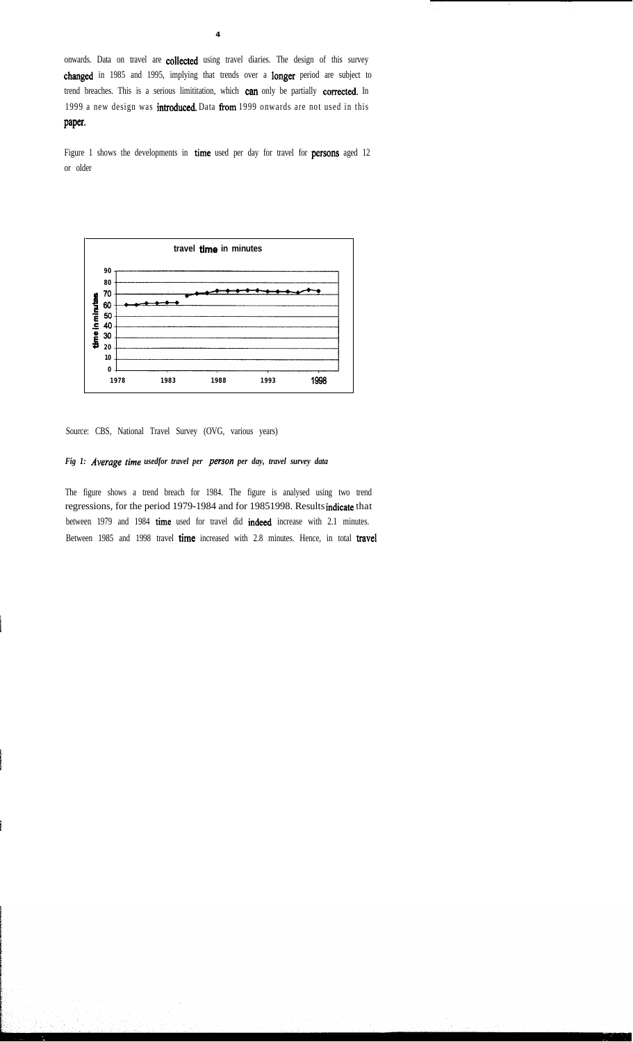onwards. Data on travel are collected using travel diaries. The design of this survey changed in 1985 and 1995, implying that trends over a longer period are subject to trend breaches. This is a serious limititation, which can only be partially corrected. In 1999 a new design was introduced. Data from 1999 onwards are not used in this paper.

**4**

Figure 1 shows the developments in time used per day for travel for persons aged 12 or older



Source: CBS, National Travel Survey (OVG, various years)

# *Fig 1: Average time usedfor travel per person per day, travel survey data*

The figure shows a trend breach for 1984. The figure is analysed using two trend regressions, for the period 1979-1984 and for 19851998. Results indicate that between 1979 and 1984 time used for travel did indeed increase with 2.1 minutes. Between 1985 and 1998 travel time increased with 2.8 minutes. Hence, in total travel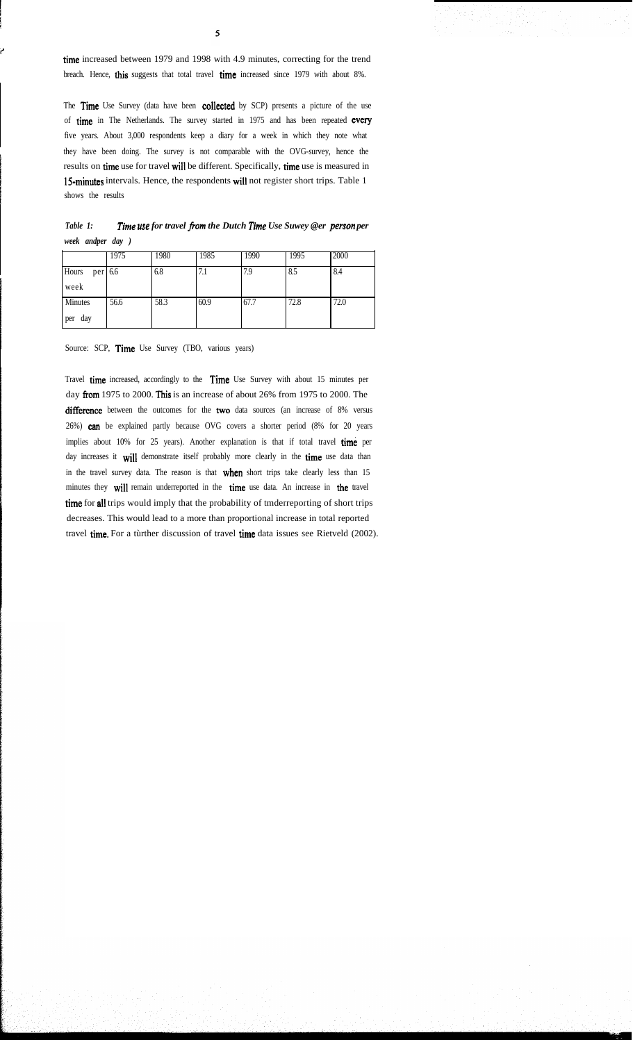time increased between 1979 and 1998 with 4.9 minutes, correcting for the trend breach. Hence, this suggests that total travel time increased since 1979 with about 8%.

The Time Use Survey (data have been collected by SCP) presents a picture of the use of time in The Netherlands. The survey started in 1975 and has been repeated every five years. About 3,000 respondents keep a diary for a week in which they note what they have been doing. The survey is not comparable with the OVG-survey, hence the results on time use for travel wil1 be different. Specifically, time use is measured in 15-minutes intervals. Hence, the respondents wil1 not register short trips. Table 1 shows the results

| Table 1: |                   | Time use for travel from the Dutch Time Use Suwey @er person per |
|----------|-------------------|------------------------------------------------------------------|
|          | week andper day ) |                                                                  |

|                  | 1975 | 1980 | 1985 | 1990 | 1995 | 2000 |
|------------------|------|------|------|------|------|------|
| Hours<br>per 6.6 |      | 6.8  | 7.1  | 7.9  | 8.5  | 8.4  |
| week             |      |      |      |      |      |      |
| Minutes          | 56.6 | 58.3 | 60.9 | 67.7 | 72.8 | 72.0 |
| day<br>per       |      |      |      |      |      |      |

Source: SCP, Time Use Survey (TBO, various years)

Travel time increased, accordingly to the Time Use Survey with about 15 minutes per day from 1975 to 2000. This is an increase of about 26% from 1975 to 2000. The difference between the outcomes for the two data sources (an increase of 8% versus 26%) can be explained partly because OVG covers a shorter period (8% for 20 years implies about 10% for 25 years). Another explanation is that if total travel time per day increases it will demonstrate itself probably more clearly in the time use data than in the travel survey data. The reason is that when short trips take clearly less than 15 minutes they will remain underreported in the time use data. An increase in the travel time for all trips would imply that the probability of tmderreporting of short trips decreases. This would lead to a more than proportional increase in total reported travel time. For a tùrther discussion of travel time data issues see Rietveld (2002).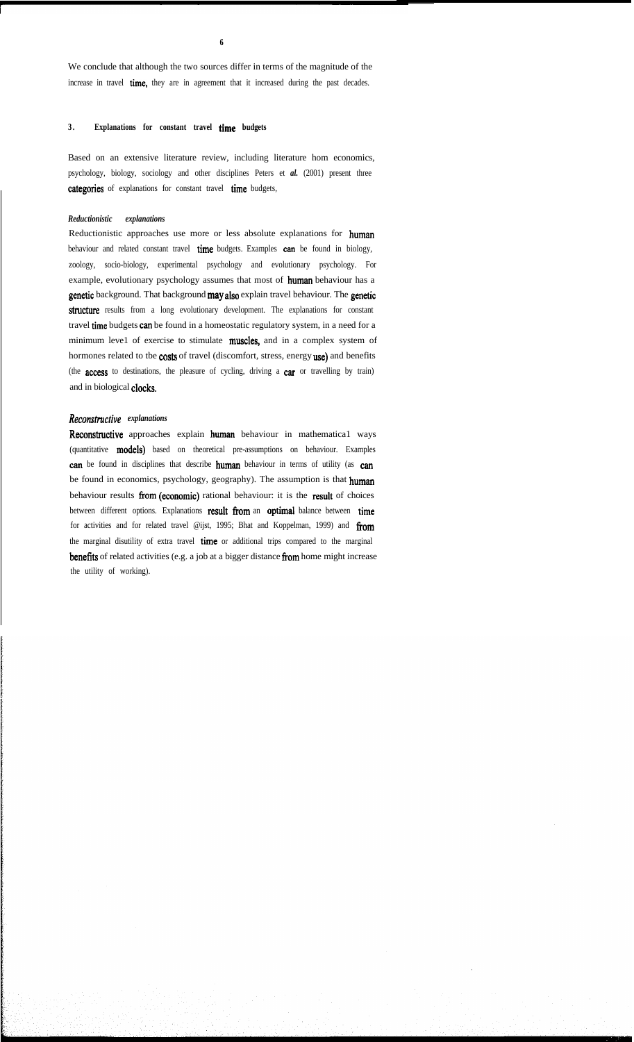We conclude that although the two sources differ in terms of the magnitude of the increase in travel time, they are in agreement that it increased during the past decades.

**6**

# **3 . Explanations for constant travel time budgets**

Based on an extensive literature review, including literature hom economics, psychology, biology, sociology and other disciplines Peters et *al.* (2001) present three categories of explanations for constant travel time budgets,

#### *Reductionistic explanations*

Reductionistic approaches use more or less absolute explanations for human behaviour and related constant travel time budgets. Examples can be found in biology, zoology, socio-biology, experimental psychology and evolutionary psychology. For example, evolutionary psychology assumes that most of human behaviour has a genetic background. That background may also explain travel behaviour. The genetic structure results from a long evolutionary development. The explanations for constant travel time budgets can be found in a homeostatic regulatory system, in a need for a minimum leve1 of exercise to stimulate **muscles**, and in a complex system of hormones related to tbe costs of travel (discomfort, stress, energy use) and benefits (the access to destinations, the pleasure of cycling, driving a car or travelling by train) and in biological clocks.

#### *Reconstmctive explanations*

Reconstructive approaches explain human behaviour in mathematica1 ways (quantitative models) based on theoretical pre-assumptions on behaviour. Examples can be found in disciplines that describe human behaviour in terms of utility (as can be found in economics, psychology, geography). The assumption is that human behaviour results from (economic) rational behaviour: it is the result of choices between different options. Explanations result from an optimal balance between time for activities and for related travel @ijst, 1995; Bhat and Koppelman, 1999) and from the marginal disutility of extra travel time or additional trips compared to the marginal benefits of related activities (e.g. a job at a bigger distance from home might increase the utility of working).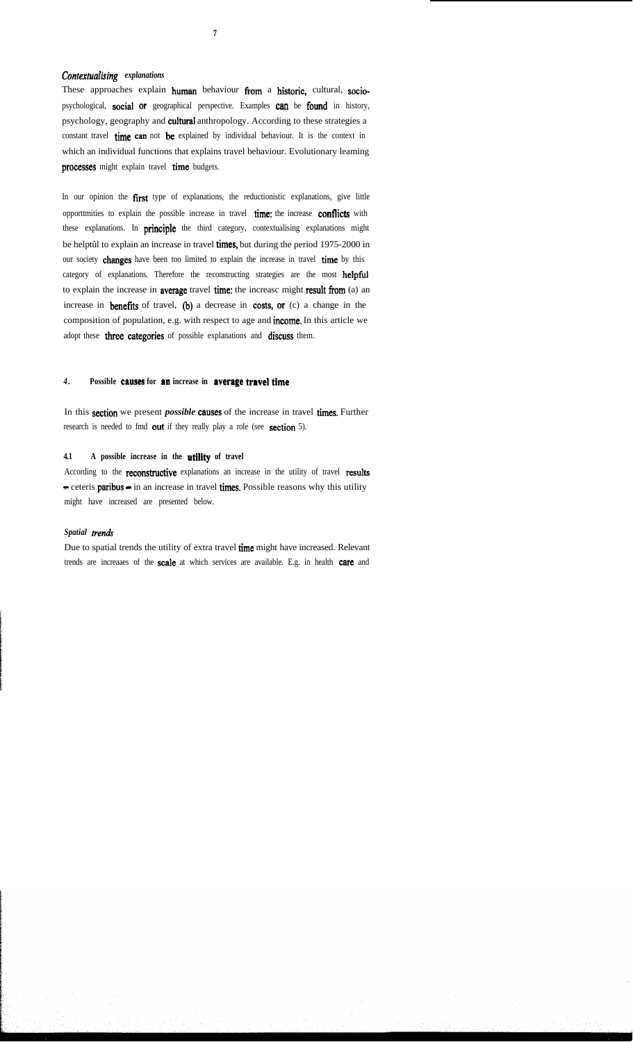# *Contexhralising explanations*

These approaches explain human behaviour from a historic, cultural, sociopsychological, social or geographical perspective. Examples can be found in history, psychology, geography and cultural anthropology. According to these strategies a constant travel time can not be explained by individual behaviour. It is the context in which an individual functions that explains travel behaviour. Evolutionary leaming processes might explain travel time budgets.

In our opinion the first type of explanations, the reductionistic explanations, give little opporttmities to explain the possible increase in travel time: the increase conflicts with these explanations. In principle the third category, contextualising explanations might be helptûl to explain an increase in travel times, but during the period 1975-2000 in our society changes have been too limited to explain the increase in travel time by this category of explanations. Therefore the reconstructing strategies are the most helpful to explain the increase in average travel time: the increasc might result from (a) an increase in benefits of travel, (b) a decrease in costs, or (c) a change in the composition of population, e.g. with respect to age and income. In this article we adopt these three categories of possible explanations and discuss them.

# 4. Possible causes for an increase in average travel time

In this section we present *possible* causes of the increase in travel times. Further research is needed to fmd out if they really play a role (see section 5).

#### **4.1 A possible increase in the utility of travel**

According to the **reconstructive** explanations an increase in the utility of travel results - ceteris paribus - in an increase in travel times. Possible reasons why this utility might have increased are presented below.

## Spatial trends

Due to spatial trends the utility of extra travel time might have increased. Relevant trends are increaaes of the scale at which services are available. E.g. in health care and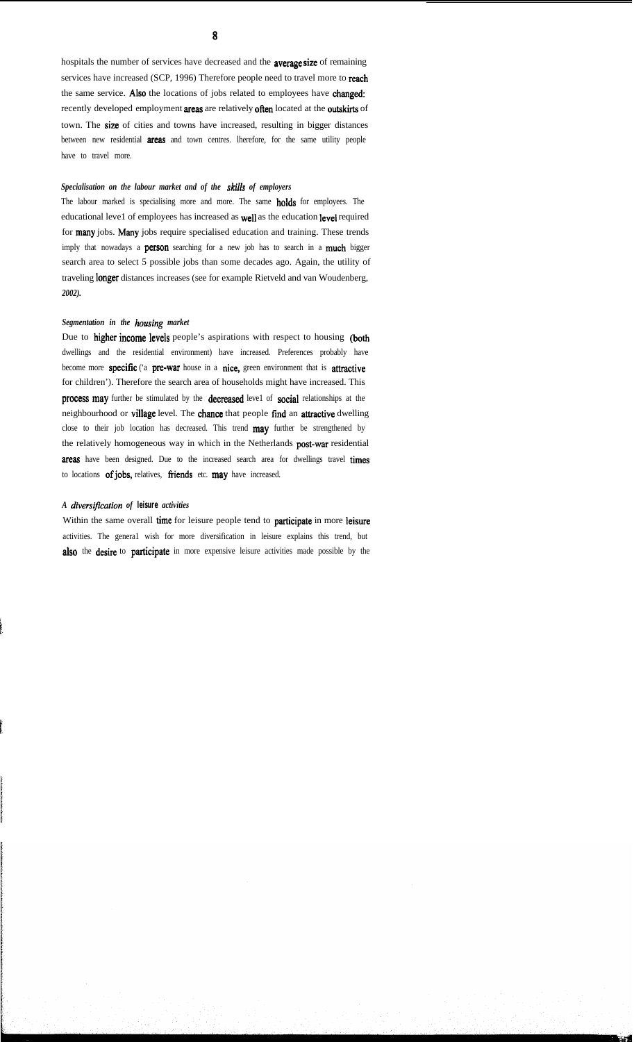hospitals the number of services have decreased and the average size of remaining services have increased (SCP, 1996) Therefore people need to travel more to reach the same service. Also the locations of jobs related to employees have changed: recently developed employment areas are relatively often located at the outskirts of town. The size of cities and towns have increased, resulting in bigger distances between new residential areas and town centres. lherefore, for the same utility people have to travel more.

#### *Specialisation on the labour market and of the skills of employers*

The labour marked is specialising more and more. The same **holds** for employees. The educational leve1 of employees has increased as well as the education level required for many jobs. Many jobs require specialised education and training. These trends imply that nowadays a **person** searching for a new job has to search in a **much** bigger search area to select 5 possible jobs than some decades ago. Again, the utility of traveling longer distances increases (see for example Rietveld and van Woudenberg, *2002).*

## Segmentation in the *housing* market

Due to higher income levels people's aspirations with respect to housing (both dwellings and the residential environment) have increased. Preferences probably have become more specific ('a pre-war house in a nice, green environment that is attractive for children'). Therefore the search area of households might have increased. This process may further be stimulated by the decreased level of social relationships at the neighbourhood or village level. The chance that people fïnd an attractive dwelling close to their job location has decreased. This trend may further be strengthened by the relatively homogeneous way in which in the Netherlands post-war residential areas have been designed. Due to the increased search area for dwellings travel times to locations of jobs, relatives, friends etc. may have increased.

# *A diverstjìcation of* **leisure** *activities*

Within the same overall time for leisure people tend to participate in more leisure activities. The genera1 wish for more diversification in leisure explains this trend, but also the desire to participate in more expensive leisure activities made possible by the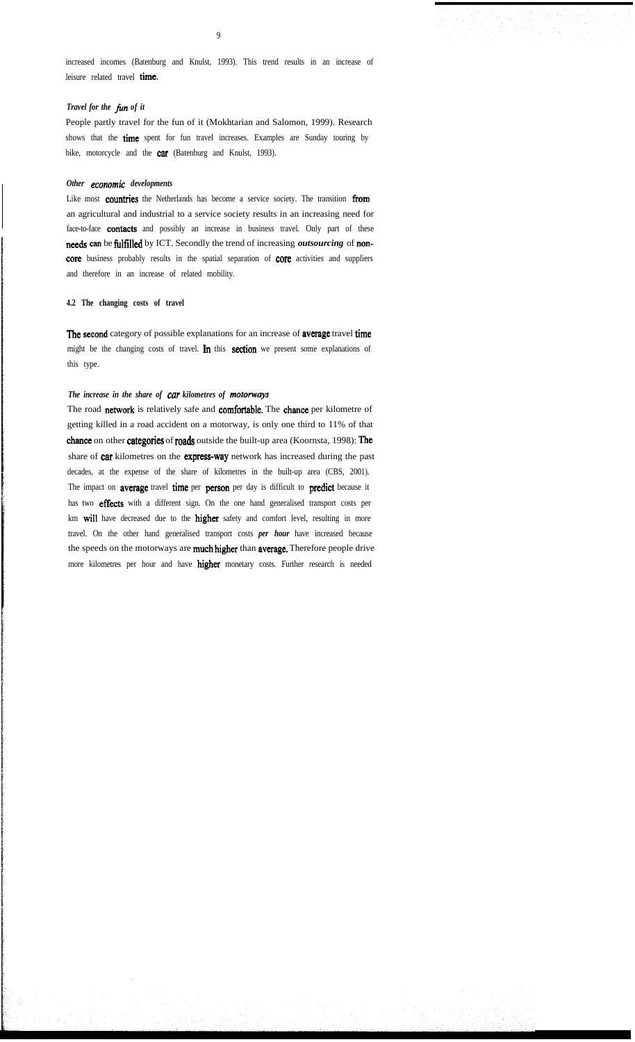increased incomes (Batenburg and Knulst, 1993). This trend results in an increase of leisure related travel time.

# *Travel for the fin of it*

People partly travel for the fun of it (Mokhtarian and Salomon, 1999). Research shows that the time spent for fun travel increases. Examples are Sunday touring by bike, motorcycle and the **car** (Batenburg and Knulst, 1993).

#### *Other economie developments*

Like most countries the Netherlands has become a service society. The transition from an agricultural and industrial to a service society results in an increasing need for face-to-face contacts and possibly an increase in business travel. Only part of these needs can be fultïlled by ICT. Secondly the trend of increasing *outsourcing* of noncore business probably results in the spatial separation of core activities and suppliers and therefore in an increase of related mobility.

# **4.2 The changing costs of travel**

The second category of possible explanations for an increase of average travel time might be the changing costs of travel. In this section we present some explanations of this type.

## *The increase in the share of car kilometres of motorwys*

The road network is relatively safe and comfortable. The chance per kilometre of getting killed in a road accident on a motorway, is only one third to 11% of that chance on other categories of roads outside the built-up area (Koornsta, 1998): The share of car kilometres on the express-way network has increased during the past decades, at the expense of the share of kilometres in the built-up area (CBS, 2001). The impact on **average** travel time per person per day is difficult to predict because it has two effects with a different sign. On the one hand generalised transport costs per km will have decreased due to the higher safety and comfort level, resulting in more travel. On the other hand generalised transport costs *per hour* have increased because the speeds on the motorways are much higher than average. Therefore people drive more kilometres per hour and have higher monetary costs. Further research is needed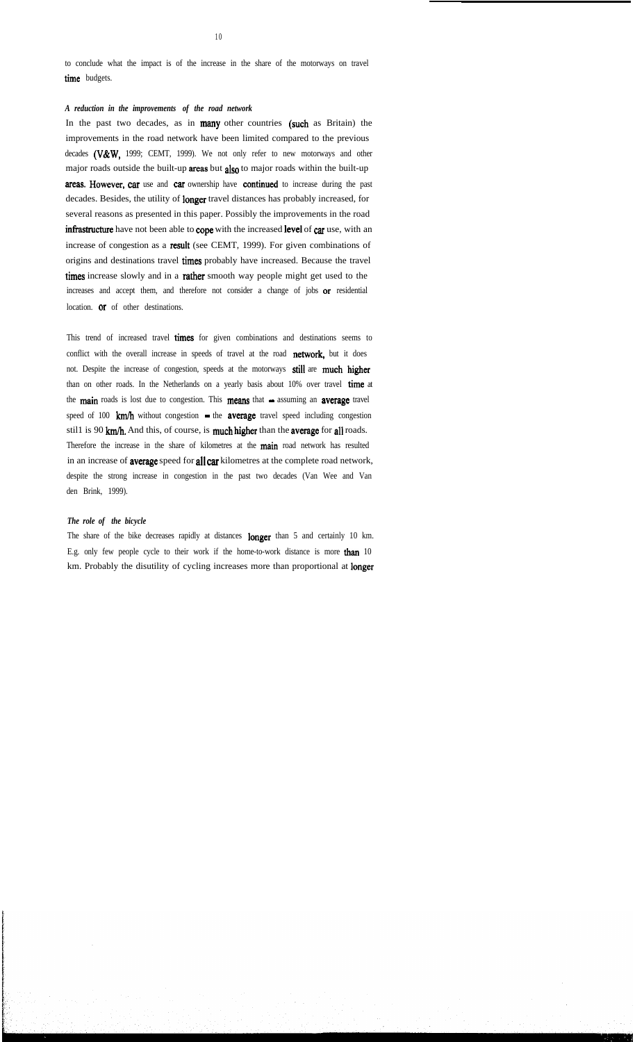to conclude what the impact is of the increase in the share of the motorways on travel time budgets.

# *A reduction in the improvements of the road network*

In the past two decades, as in many other countries (such as Britain) the improvements in the road network have been limited compared to the previous decades (V&W, 1999; CEMT, 1999). We not only refer to new motorways and other major roads outside the built-up areas but also to major roads within the built-up areas. However, car use and car ownership have continued to increase during the past decades. Besides, the utility of longer travel distances has probably increased, for several reasons as presented in this paper. Possibly the improvements in the road infrastructure have not been able to cope with the increased level of car use, with an increase of congestion as a result (see CEMT, 1999). For given combinations of origins and destinations travel times probably have increased. Because the travel times increase slowly and in a rather smooth way people might get used to the increases and accept them, and therefore not consider a change of jobs or residential location. or of other destinations.

This trend of increased travel times for given combinations and destinations seems to conflict with the overall increase in speeds of travel at the road network, but it does not. Despite the increase of congestion, speeds at the motorways still are much higher than on other roads. In the Netherlands on a yearly basis about 10% over travel time at the main roads is lost due to congestion. This means that  $-$  assuming an average travel speed of 100  $km/h$  without congestion  $-$  the average travel speed including congestion still is 90 km/h. And this, of course, is much higher than the average for all roads. Therefore the increase in the share of kilometres at the main road network has resulted in an increase of **average** speed for **all car** kilometres at the complete road network, despite the strong increase in congestion in the past two decades (Van Wee and Van den Brink, 1999).

#### *The role of the bicycle*

The share of the bike decreases rapidly at distances longer than 5 and certainly 10 km. E.g. only few people cycle to their work if the home-to-work distance is more than 10 km. Probably the disutility of cycling increases more than proportional at longer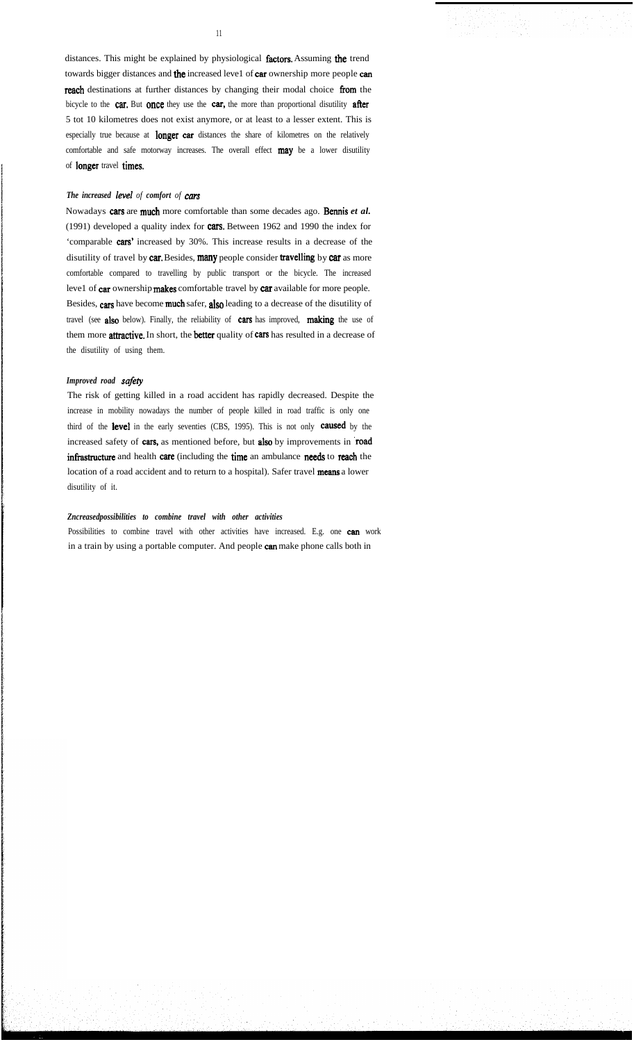distances. This might be explained by physiological factors. Assuming the trend towards bigger distances and the increased leve1 of car ownership more people can reach destinations at further distances by changing their modal choice from the bicycle to the car. But once they use the car, the more than proportional disutility after 5 tot 10 kilometres does not exist anymore, or at least to a lesser extent. This is especially true because at **longer car** distances the share of kilometres on the relatively comfortable and safe motorway increases. The overall effect **may** be a lower disutility of longer travel times.

# *The increased leve1 of comfort of cars*

Nowadays cars are much more comfortable than some decades ago. Bennis *et al.* (1991) developed a quality index for cars. Between 1962 and 1990 the index for 'comparable cars' increased by 30%. This increase results in a decrease of the disutility of travel by car. Besides, many people consider travelling by car as more comfortable compared to travelling by public transport or the bicycle. The increased leve1 of car ownership makes comfortable travel by car available for more people. Besides, cars have become much safer, also leading to a decrease of the disutility of travel (see also below). Finally, the reliability of cars has improved, making the use of them more **attractive.** In short, the **better** quality of cars has resulted in a decrease of the disutility of using them.

#### Improved road safety

The risk of getting killed in a road accident has rapidly decreased. Despite the increase in mobility nowadays the number of people killed in road traffic is only one third of the level in the early seventies (CBS, 1995). This is not only caused by the increased safety of cars, as mentioned before, but also by improvements in road infrastructure and health care (including the time an ambulance needs to reach the location of a road accident and to return to a hospital). Safer travel means a lower disutility of it.

## *Zncreasedpossibilities to combine travel with other activities*

Possibilities to combine travel with other activities have increased. E.g. one can work in a train by using a portable computer. And people can make phone calls both in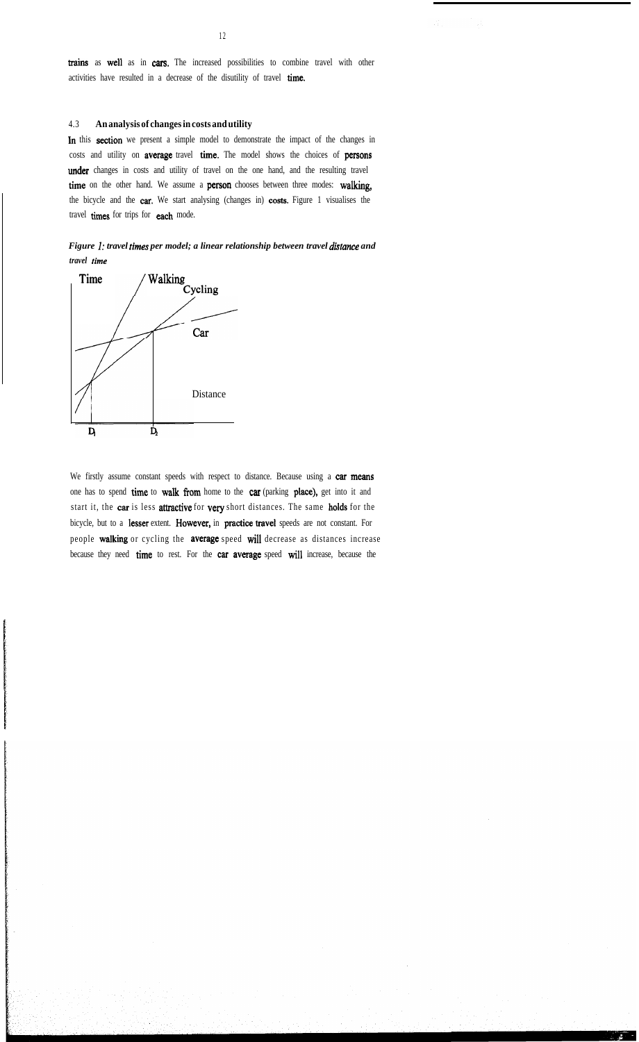trains as well as in cars. The increased possibilities to combine travel with other activities have resulted in a decrease of the disutility of travel time.

## 4.3 **An analysis of changes in costs and utility**

In this section we present a simple model to demonstrate the impact of the changes in costs and utility on average travel time. The model shows the choices of persons under changes in costs and utility of travel on the one hand, and the resulting travel time on the other hand. We assume a person chooses between three modes: walking, the bicycle and the car. We start analysing (changes in) costs. Figure 1 visualises the travel times for trips for each mode.

*Figure 1: travel times per model; a linear relationship between travel distance and travel time*



We firstly assume constant speeds with respect to distance. Because using a car means one has to spend time to waIk fiom home to the car (parking place), get into it and start it, the car is less attractive for very short distances. The same holds for the bicycle, but to a lesser extent. However, in practice travel speeds are not constant. For people walking or cycling the average speed will decrease as distances increase because they need time to rest. For the car average speed will increase, because the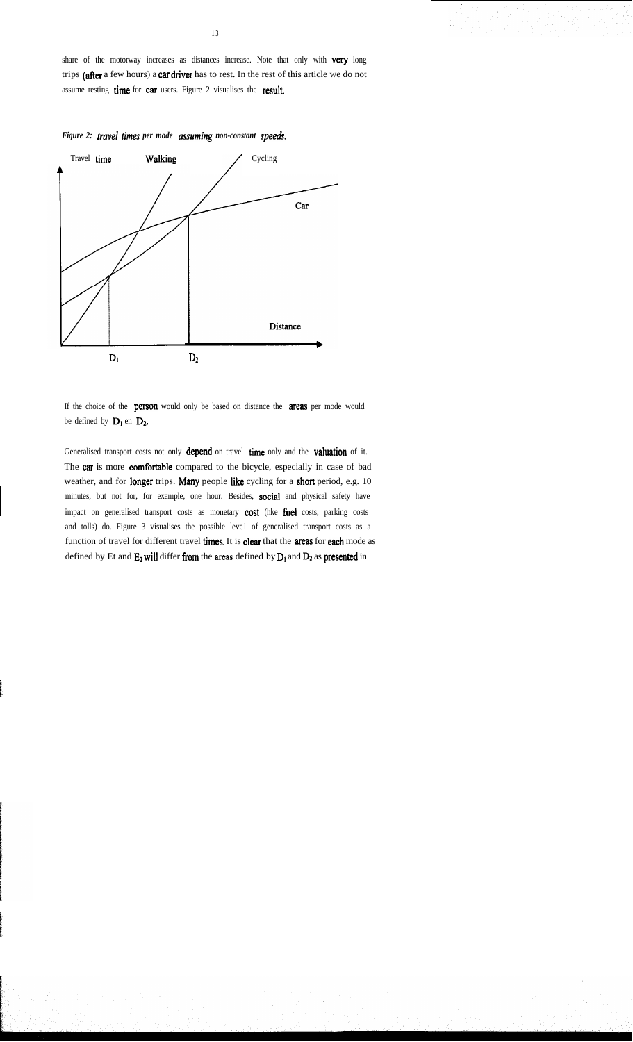share of the motorway increases as distances increase. Note that only with very long trips (after a few hours) a car driver has to rest. In the rest of this article we do not assume resting time for car users. Figure 2 visualises the result.



If the choice of the **person** would only be based on distance the **areas** per mode would be defined by  $D_1$  en  $D_2$ .

Generalised transport costs not only depend on travel time only and the valuation of it. The car is more comfortable compared to the bicycle, especially in case of bad weather, and for longer trips. Many people like cycling for a short period, e.g. 10 minutes, but not for, for example, one hour. Besides, social and physical safety have impact on generalised transport costs as monetary **cost** (hke fuel costs, parking costs and tolls) do. Figure 3 visualises the possible leve1 of generalised transport costs as a function of travel for different travel times. It is clear that the areas for each mode as defined by Et and  $E_2$  will differ from the areas defined by  $D_1$  and  $D_2$  as presented in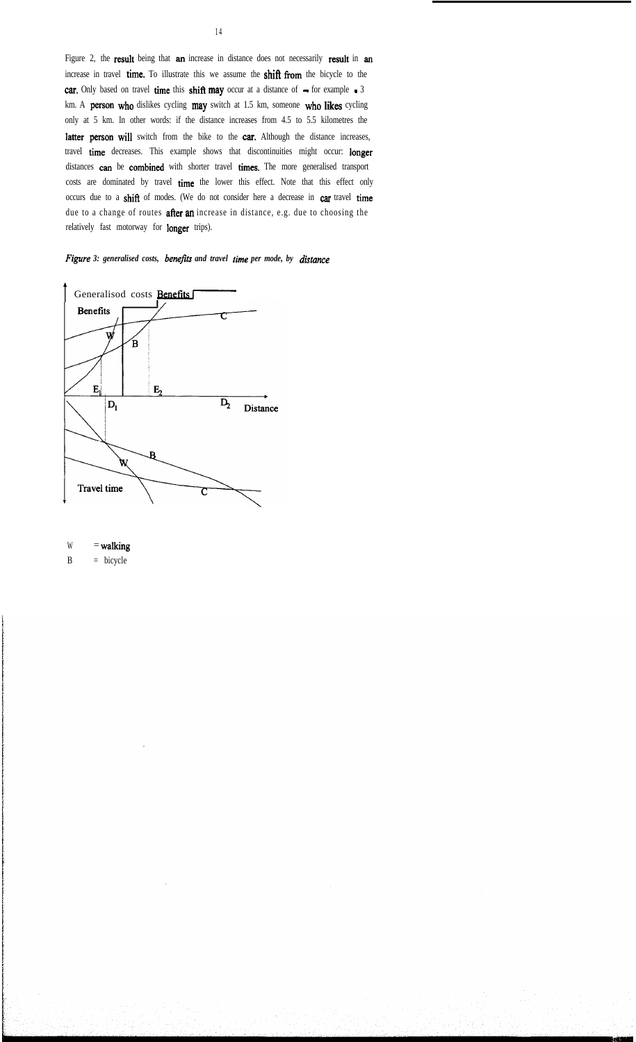Figure 2, the result being that an increase in distance does not necessarily result in an increase in travel time. To illustrate this we assume the shifl from the bicycle to the car. Only based on travel time this shift may occur at a distance of  $-$  for example  $-3$ km. A person who dislikes cycling may switch at 1.5 km, someone who likes cycling only at 5 km. In other words: if the distance increases from 4.5 to 5.5 kilometres the latter person will switch from the bike to the car. Although the distance increases, travel time decreases. This example shows that discontinuities might occur: longer distances can be combined with shorter travel times. The more generalised transport costs are dominated by travel time the lower this effect. Note that this effect only occurs due to a shifi of modes. (We do not consider here a decrease in car travel time due to a change of routes after an increase in distance, e.g. due to choosing the relatively fast motorway for longer trips).



 $W =$  walking

B = bicycle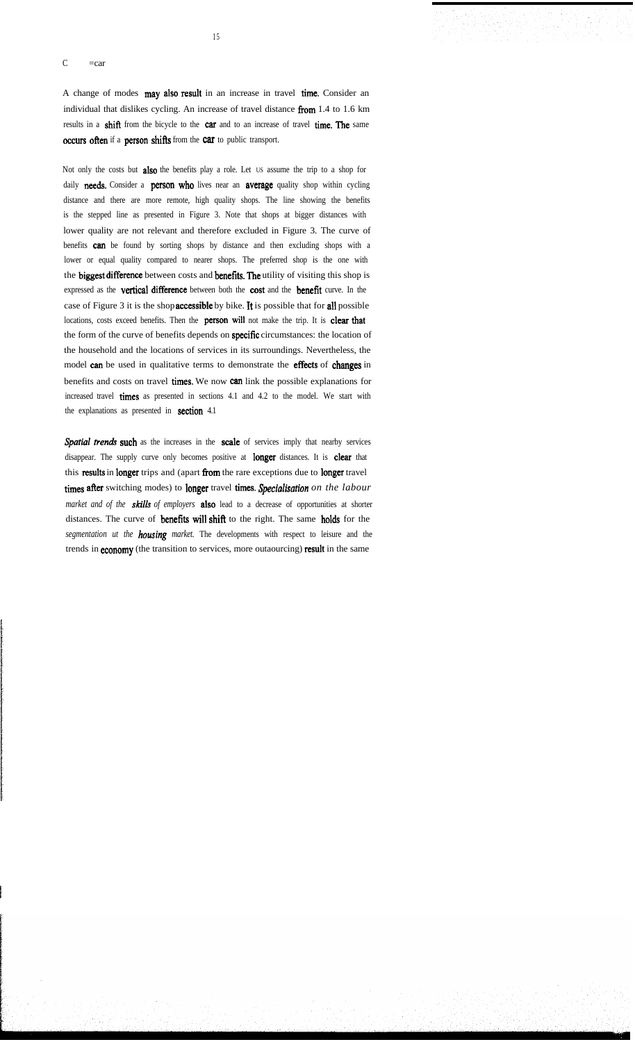#### $C = car$

A change of modes may also result in an increase in travel time. Consider an individual that dislikes cycling. An increase of travel distance fiom 1.4 to 1.6 km results in a shift from the bicycle to the car and to an increase of travel time. The same occurs often if a person shifts from the car to public transport.

1 5

Not only the costs but also the benefits play a role. Let US assume the trip to a shop for daily needs. Consider a person who lives near an average quality shop within cycling distance and there are more remote, high quality shops. The line showing the benefits is the stepped line as presented in Figure 3. Note that shops at bigger distances with lower quality are not relevant and therefore excluded in Figure 3. The curve of benefits can be found by sorting shops by distance and then excluding shops with a lower or equal quality compared to nearer shops. The preferred shop is the one with the biggest difference between costs and benefits. The utility of visiting this shop is expressed as the vertical difference between both the cost and the benefit curve. In the case of Figure 3 it is the shop accessible by bike. It is possible that for al1 possible locations, costs exceed benefits. Then the person wil1 not make the trip. It is clear that the form of the curve of benefits depends on specific circumstances: the location of the household and the locations of services in its surroundings. Nevertheless, the model can be used in qualitative terms to demonstrate the effects of changes in benefits and costs on travel times. We now can link the possible explanations for increased travel times as presented in sections 4.1 and 4.2 to the model. We start with the explanations as presented in section 4.1

Spatial trends such as the increases in the scale of services imply that nearby services disappear. The supply curve only becomes positive at longer distances. It is clear that this results in longer trips and (apart from the rare exceptions due to longer travel times after switching modes) to longer travel times. *Specialisafion on the labour market and of the skills of employers* also lead to a decrease of opportunities at shorter distances. The curve of benefits will shift to the right. The same holds for the *segmentation ut the housing market.* The developments with respect to leisure and the trends in **economy** (the transition to services, more outaourcing) result in the same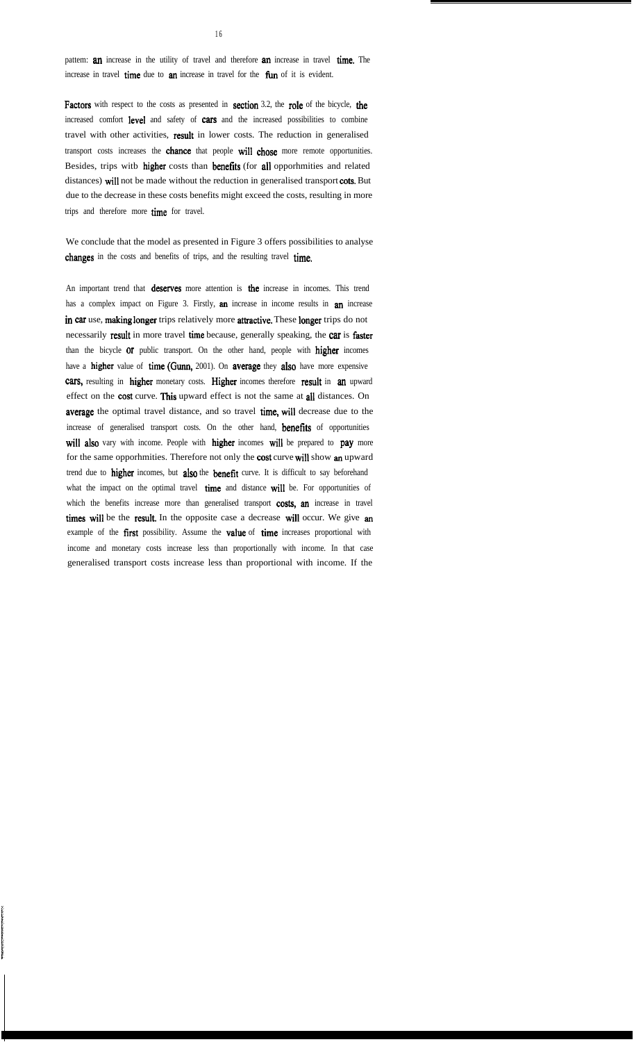pattem: **an** increase in the utility of travel and therefore **an** increase in travel **time**. The increase in travel time due to an increase in travel for the fun of it is evident.

Factors with respect to the costs as presented in section 3.2, the role of the bicycle, the increased comfort leve1 and safety of cars and the increased possibilities to combine travel with other activities, result in lower costs. The reduction in generalised transport costs increases the chance that people wil1 chose more remote opportunities. Besides, trips with higher costs than benefits (for all opporhmities and related distances) will not be made without the reduction in generalised transport cots. But due to the decrease in these costs benefits might exceed the costs, resulting in more trips and therefore more time for travel.

We conclude that the model as presented in Figure 3 offers possibilities to analyse changes in the costs and benefits of trips, and the resulting travel time.

An important trend that **deserves** more attention is **the** increase in incomes. This trend has a complex impact on Figure 3. Firstly, an increase in income results in an increase in car use, making longer trips relatively more attractive. These longer trips do not necessarily result in more travel time because, generally speaking, the car is faster than the bicycle or public transport. On the other hand, people with higher incomes have a higher value of time (Gunn, 2001). On average they also have more expensive cars, resulting in higher monetary costs. Higher incomes therefore result in an upward effect on the cost curve. This upward effect is not the same at all distances. On average the optimal travel distance, and so travel time, will decrease due to the increase of generalised transport costs. On the other hand, benefïts of opportunities will also vary with income. People with higher incomes will be prepared to pay more for the same opporhmities. Therefore not only the cost curve will show an upward trend due to higher incomes, but also the benefit curve. It is difficult to say beforehand what the impact on the optimal travel time and distance wil1 be. For opportunities of which the benefits increase more than generalised transport costs, an increase in travel times will be the result. In the opposite case a decrease will occur. We give an example of the first possibility. Assume the value of time increases proportional with income and monetary costs increase less than proportionally with income. In that case generalised transport costs increase less than proportional with income. If the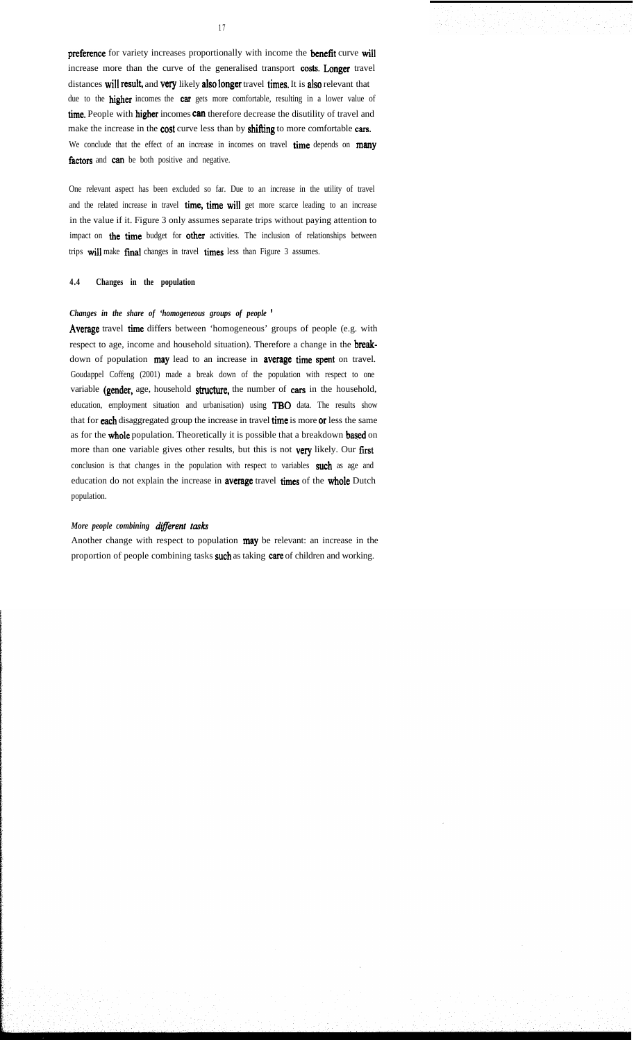preference for variety increases proportionally with income the benefit curve will increase more than the curve of the generalised transport costs. Longer travel distances will result, and very likely also longer travel times. It is also relevant that due to the higher incomes the car gets more comfortable, resulting in a lower value of time. People with higher incomes can therefore decrease the disutility of travel and make the increase in the cost curve less than by shifting to more comfortable cars. We conclude that the effect of an increase in incomes on travel time depends on many factors and can be both positive and negative.

One relevant aspect has been excluded so far. Due to an increase in the utility of travel and the related increase in travel time, time will get more scarce leading to an increase in the value if it. Figure 3 only assumes separate trips without paying attention to impact on the time budget for other activities. The inclusion of relationships between trips wil1 make final changes in travel times less than Figure 3 assumes.

# **4.4 Changes in the population**

# *Changes in the share of 'homogeneous groups of people '*

Average travel time differs between 'homogeneous' groups of people (e.g. with respect to age, income and household situation). Therefore a change in the breakdown of population may lead to an increase in average time spent on travel. Goudappel Coffeng (2001) made a break down of the population with respect to one variable (gender, age, household structure, the number of cars in the household, education, employment situation and urbanisation) using TBO data. The results show that for each disaggregated group the increase in travel time is more or less the same as for the whole population. Theoretically it is possible that a breakdown based on more than one variable gives other results, but this is not very likely. Our first conclusion is that changes in the population with respect to variables such as age and education do not explain the increase in average travel times of the whole Dutch population.

#### *More people combining different tasks*

Another change with respect to population may be relevant: an increase in the proportion of people combining tasks such as taking care of children and working.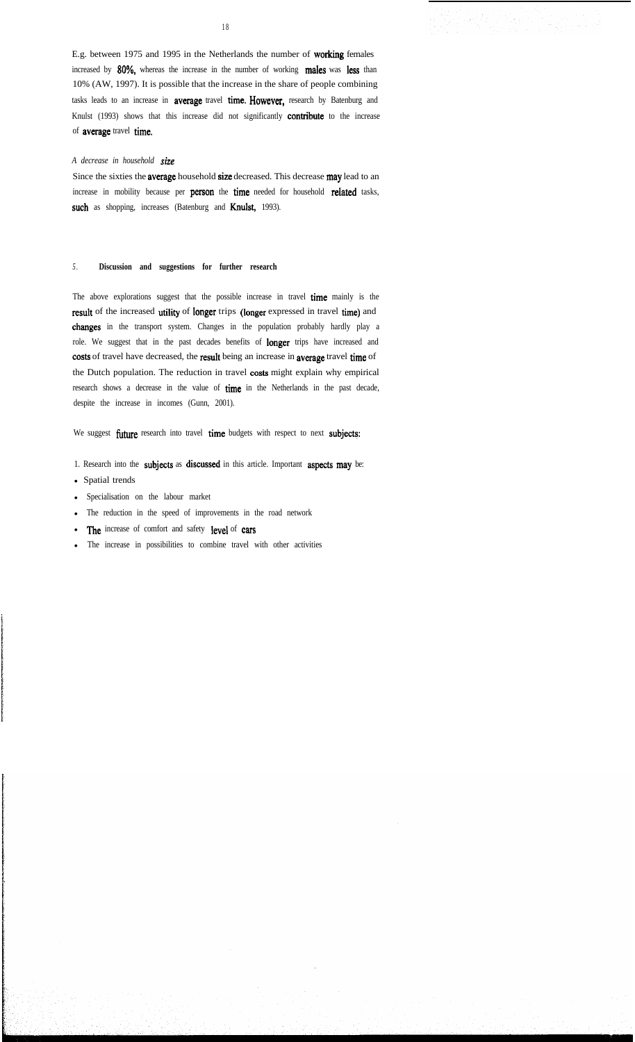E.g. between 1975 and 1995 in the Netherlands the number of working females increased by 80%, whereas the increase in the number of working males was less than 10% (AW, 1997). It is possible that the increase in the share of people combining tasks leads to an increase in **average** travel time. However, research by Batenburg and Knulst (1993) shows that this increase did not significantly **contribute** to the increase of average travel time.

#### *A decrease in household size*

Since the sixties the average household size decreased. This decrease may lead to an increase in mobility because per person the time needed for household related tasks, such as shopping, increases (Batenburg and Knulst, 1993).

# *5 .* **Discussion and suggestions for further research**

The above explorations suggest that the possible increase in travel time mainly is the result of the increased utility of longer trips (longer expressed in travel time) and changes in the transport system. Changes in the population probably hardly play a role. We suggest that in the past decades benefits of longer trips have increased and costs of travel have decreased, the result being an increase in average travel time of the Dutch population. The reduction in travel costs might explain why empirical research shows a decrease in the value of time in the Netherlands in the past decade, despite the increase in incomes (Gunn, 2001).

We suggest future research into travel time budgets with respect to next subjects:

- 1. Research into the subjects as discussed in this article. Important aspects may be:
- Spatial trends
- Specialisation on the labour market
- <sup>l</sup> The reduction in the speed of improvements in the road network
- The increase of comfort and safety level of cars
- <sup>l</sup> The increase in possibilities to combine travel with other activities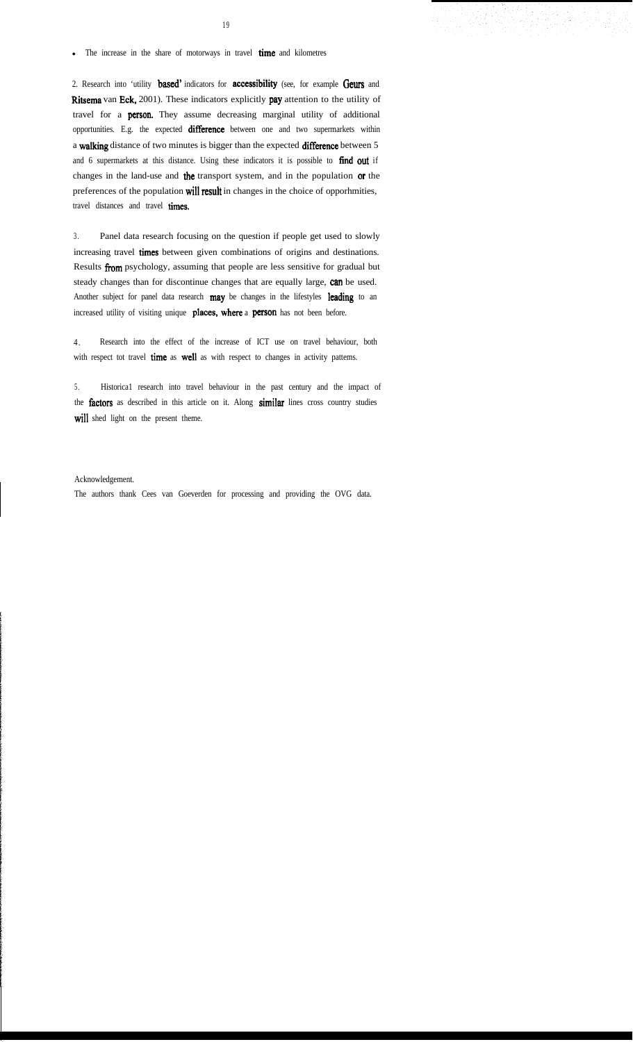• The increase in the share of motorways in travel **time** and kilometres

2. Research into 'utility based' indicators for accessibility (see, for example Geurs and Ritsema van Eck, 2001). These indicators explicitly pay attention to the utility of travel for a person. They assume decreasing marginal utility of additional opportunities. E.g. the expected difference between one and two supermarkets within a walking distance of two minutes is bigger than the expected differente between 5 and 6 supermarkets at this distance. Using these indicators it is possible to find out if changes in the land-use and the transport system, and in the population or the preferences of the population wil1 result in changes in the choice of opporhmities, travel distances and travel times.

3 . Panel data research focusing on the question if people get used to slowly increasing travel times between given combinations of origins and destinations. Results from psychology, assuming that people are less sensitive for gradual but steady changes than for discontinue changes that are equally large, can be used. Another subject for panel data research may be changes in the lifestyles leading to an increased utility of visiting unique places, where a person has not been before.

4 . Research into the effect of the increase of ICT use on travel behaviour, both with respect tot travel time as well as with respect to changes in activity pattems.

5 . Historica1 research into travel behaviour in the past century and the impact of the factors as described in this article on it. Along similar lines cross country studies will shed light on the present theme.

Acknowledgement.

The authors thank Cees van Goeverden for processing and providing the OVG data.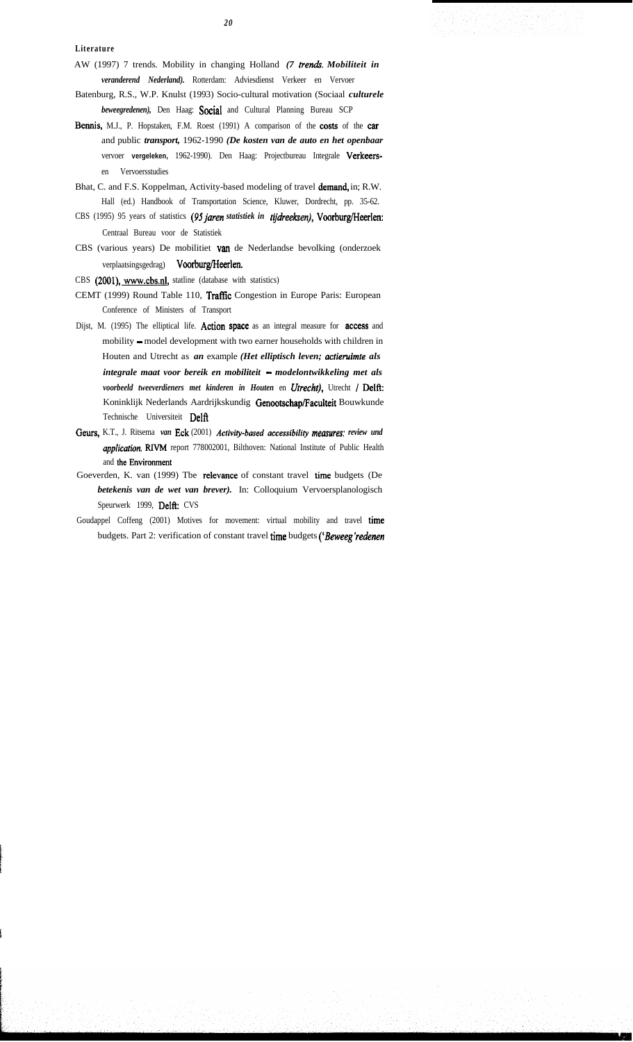- AW (1997) 7 trends. Mobility in changing Holland *(7 trends. Mobiliteit in veranderend Nederland).* Rotterdam: Adviesdienst Verkeer en Vervoer
- Batenburg, R.S., W.P. Knulst (1993) Socio-cultural motivation (Sociaal *culturele beweegredenen),* Den Haag: Social and Cultural Planning Bureau SCP
- Bennis, M.J., P. Hopstaken, F.M. Roest (1991) A comparison of the costs of the car and public *transport,* 1962-1990 *(De kosten van de auto en het openbaar* vervoer **vergeleken,** 1962-1990). Den Haag: Projectbureau Integrale Verkeersen Vervoersstudies
- Bhat, C. and F.S. Koppelman, Activity-based modeling of travel demand, in; R.W. Hall (ed.) Handbook of Transportation Science, Kluwer, Dordrecht, pp. 35-62.
- CBS (1995) 95 years of statistics (95 jaren statistiek in tijdreeksen), Voorburg/Heerlen: Centraal Bureau voor de Statistiek
- CBS (various years) De mobilitiet van de Nederlandse bevolking (onderzoek verplaatsingsgedrag) Voorburg/Heerlen.
- CBS (2001), www.cbs.nl, statline (database with statistics)
- CEMT (1999) Round Table 110, Traffic Congestion in Europe Paris: European Conference of Ministers of Transport
- Dijst, M. (1995) The elliptical life. Action space as an integral measure for access and mobility - model development with two earner households with children in Houten and Utrecht as *an* example *(Het elliptisch leven; actieruimte als integrale maat voor bereik en mobiliteit - modelontwikkeling met als voorbeeld tweeverdieners met kinderen in Houten* en *Utrecht*), Utrecht / Delft: Koninklijk Nederlands Aardrijkskundig Genootschap/Faculteit Bouwkunde Technische Universiteit Delft
- Gems, K.T., J. Ritsema *van* Eek (2001) *Activity-based accessibitity meusures: review und upplicution.* RIVM report 778002001, Bilthoven: National Institute of Public Health and tbe Environment
- Goeverden, K. van (1999) Tbe relevance of constant travel time budgets (De *betekenis van de wet van brever).* In: Colloquium Vervoersplanologisch Speurwerk 1999, Delft: CVS
- Goudappel Coffeng (2001) Motives for movement: virtual mobility and travel time budgets. Part 2: verification of constant travel time budgets *('Beweeg'redenen*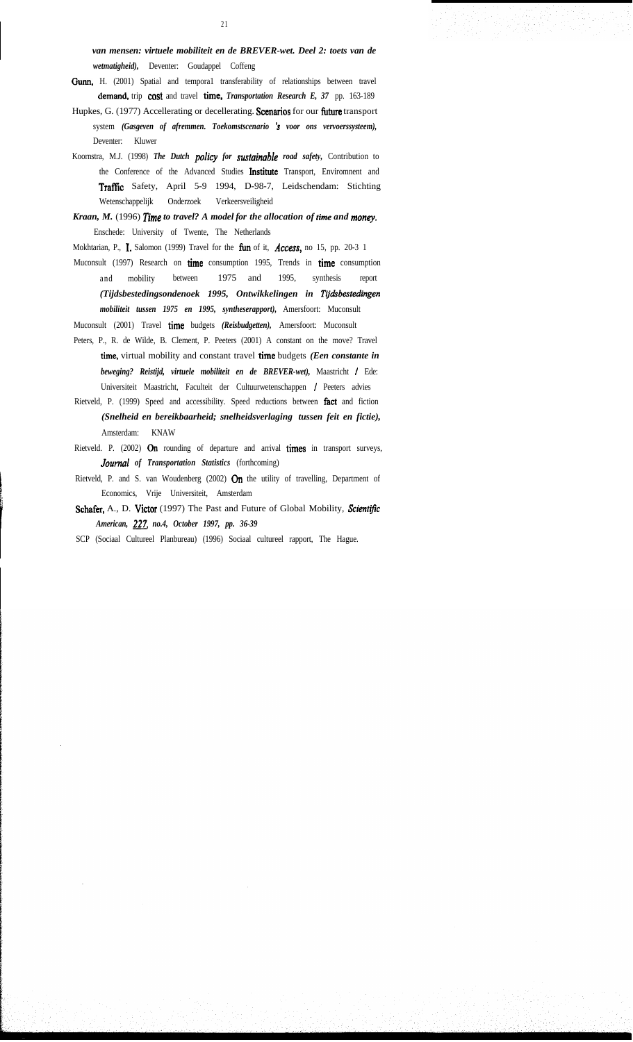*van mensen: virtuele mobiliteit en de BREVER-wet. Deel 2: toets van de wetmatigheid),* Deventer: Goudappel Coffeng

- Gunn, H. (2001) Spatial and temporal transferability of relationships between travel demand, trip cost and travel time, *Transportation Research E*, 37 pp. 163-189
- Hupkes, G. (1977) Accellerating or decellerating. Scenarios for our future transport system *(Gasgeven of afremmen. Toekomstscenario 's voor ons vervoerssysteem),* Deventer: Kluwer
- Koornstra, M.J. (1998) *The Dutch policy for sustainable road safety,* Contribution to the Conference of the Advanced Studies Institute Transport, Enviromnent and Traffíc Safety, April 5-9 1994, D-98-7, Leidschendam: Stichting Wetenschappelijk Onderzoek Verkeersveiligheid
- *Kraan, M.* (1996) *Time to travel? A model for the allocation of time and money.* Enschede: University of Twente, The Netherlands
- Mokhtarian, P., 1. Salomon (1999) Travel for the tûn of it, *Access,* no 15, pp. 20-3 1
- Muconsult (1997) Research on time consumption 1995, Trends in time consumption and mobility between 1975 and 1995, synthesis report *(Tijdsbestedingsondenoek 1995, Ontwikkelingen in Tijdsbestedingen mobiliteit tussen 1975 en 1995, syntheserapport),* Amersfoort: Muconsult

Muconsult (2001) Travel time budgets *(Reisbudgetten),* Amersfoort: Muconsult

- Peters, P., R. de Wilde, B. Clement, P. Peeters (2001) A constant on the move? Travel time, virtual mobility and constant travel time budgets *(Een constante in beweging? Reistijd, virtuele mobiliteit en de BREVER-wet),* Maastricht I Ede: Universiteit Maastricht, Faculteit der Cultuurwetenschappen / Peeters advies
- Rietveld, P. (1999) Speed and accessibility. Speed reductions between fact and fiction *(Snelheid en bereikbaarheid; snelheidsverlaging tussen feit en fictie),* Amsterdam: KNAW
- Rietveld. P. (2002) On rounding of departure and arrival times in transport surveys, *Journal of Transportation Statistics* (forthcoming)
- Rietveld, P. and S. van Woudenberg (2002)  $O_n$  the utility of travelling, Department of Economics, Vrije Universiteit, Amsterdam
- Schafer, A., D. Victor (1997) The Past and Future of Global Mobility, *Scientifc American, 227. no.4, October 1997, pp. 36-39*
- SCP (Sociaal Cultureel Planbureau) (1996) Sociaal cultureel rapport, The Hague.